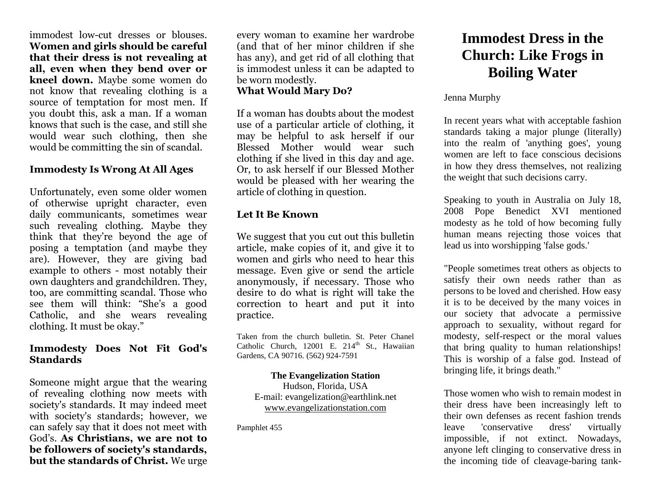immodest low-cut dresses or blouses. **Women and girls should be careful that their dress is not revealing at all, even when they bend over or kneel down.** Maybe some women do not know that revealing clothing is a source of temptation for most men. If you doubt this, ask a man. If a woman knows that such is the case, and still she would wear such clothing, then she would be committing the sin of scandal.

# **Immodesty Is Wrong At All Ages**

Unfortunately, even some older women of otherwise upright character, even daily communicants, sometimes wear such revealing clothing. Maybe they think that they're beyond the age of posing a temptation (and maybe they are). However, they are giving bad example to others - most notably their own daughters and grandchildren. They, too, are committing scandal. Those who see them will think: "She's a good Catholic, and she wears revealing clothing. It must be okay."

## **Immodesty Does Not Fit God's Standards**

Someone might argue that the wearing of revealing clothing now meets with society's standards. It may indeed meet with society's standards; however, we can safely say that it does not meet with God's. **As Christians, we are not to be followers of society's standards, but the standards of Christ.** We urge every woman to examine her wardrobe (and that of her minor children if she has any), and get rid of all clothing that is immodest unless it can be adapted to be worn modestly.

# **What Would Mary Do?**

If a woman has doubts about the modest use of a particular article of clothing, it may be helpful to ask herself if our Blessed Mother would wear such clothing if she lived in this day and age. Or, to ask herself if our Blessed Mother would be pleased with her wearing the article of clothing in question.

### **Let It Be Known**

We suggest that you cut out this bulletin article, make copies of it, and give it to women and girls who need to hear this message. Even give or send the article anonymously, if necessary. Those who desire to do what is right will take the correction to heart and put it into practice.

Taken from the church bulletin. St. Peter Chanel Catholic Church,  $12001$  E.  $214<sup>th</sup>$  St., Hawaiian Gardens, CA 90716. (562) 924-7591

#### **The Evangelization Station**

Hudson, Florida, USA E-mail: evangelization@earthlink.net [www.evangelizationstation.com](http://www.pjpiisoe.org/)

Pamphlet 455

# **Immodest Dress in the Church: Like Frogs in Boiling Water**

### Jenna Murphy

In recent years what with acceptable fashion standards taking a major plunge (literally) into the realm of 'anything goes', young women are left to face conscious decisions in how they dress themselves, not realizing the weight that such decisions carry.

Speaking to youth in Australia on July 18, 2008 Pope Benedict XVI mentioned modesty as he told of how becoming fully human means rejecting those voices that lead us into worshipping 'false gods.'

"People sometimes treat others as objects to satisfy their own needs rather than as persons to be loved and cherished. How easy it is to be deceived by the many voices in our society that advocate a permissive approach to sexuality, without regard for modesty, self-respect or the moral values that bring quality to human relationships! This is worship of a false god. Instead of bringing life, it brings death."

Those women who wish to remain modest in their dress have been increasingly left to their own defenses as recent fashion trends leave 'conservative dress' virtually impossible, if not extinct. Nowadays, anyone left clinging to conservative dress in the incoming tide of cleavage-baring tank-